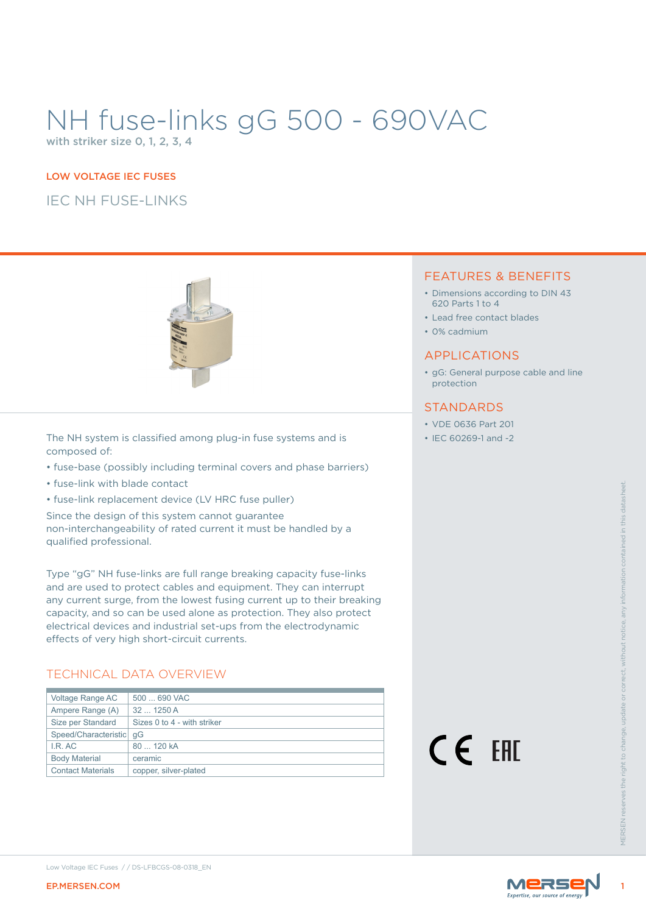# NH fuse-links gG 500 - 690VAC

with striker size 0, 1, 2, 3, 4

#### LOW VOLTAGE IEC FUSES

IEC NH FUSE-LINKS



The NH system is classified among plug-in fuse systems and is composed of:

- fuse-base (possibly including terminal covers and phase barriers)
- fuse-link with blade contact
- fuse-link replacement device (LV HRC fuse puller)

### TECHNICAL DATA OVERVIEW

| Size per Standard<br>Speed/Characteristic   qG<br>I.R. AC<br><b>Body Material</b><br><b>Contact Materials</b> | 80  120 kA<br>ceramic<br>copper, silver-plated                                                                                                                                                                                                                                                       | CE EHI | <b>VIFRSEN res</b> |
|---------------------------------------------------------------------------------------------------------------|------------------------------------------------------------------------------------------------------------------------------------------------------------------------------------------------------------------------------------------------------------------------------------------------------|--------|--------------------|
|                                                                                                               |                                                                                                                                                                                                                                                                                                      |        |                    |
|                                                                                                               |                                                                                                                                                                                                                                                                                                      |        |                    |
|                                                                                                               |                                                                                                                                                                                                                                                                                                      |        |                    |
|                                                                                                               |                                                                                                                                                                                                                                                                                                      |        |                    |
|                                                                                                               |                                                                                                                                                                                                                                                                                                      |        |                    |
|                                                                                                               | Sizes 0 to 4 - with striker                                                                                                                                                                                                                                                                          |        |                    |
| Ampere Range (A)                                                                                              | 32  1250 A                                                                                                                                                                                                                                                                                           |        |                    |
| Voltage Range AC                                                                                              | 500  690 VAC                                                                                                                                                                                                                                                                                         |        |                    |
|                                                                                                               | any current surge, from the lowest fusing current up to their breaking<br>capacity, and so can be used alone as protection. They also protect<br>electrical devices and industrial set-ups from the electrodynamic<br>effects of very high short-circuit currents.<br><b>TECHNICAL DATA OVERVIEW</b> |        |                    |
|                                                                                                               | Type "gG" NH fuse-links are full range breaking capacity fuse-links<br>and are used to protect cables and equipment. They can interrupt                                                                                                                                                              |        |                    |
| qualified professional.                                                                                       | Since the design of this system cannot guarantee<br>non-interchangeability of rated current it must be handled by a                                                                                                                                                                                  |        |                    |
|                                                                                                               |                                                                                                                                                                                                                                                                                                      |        |                    |
|                                                                                                               |                                                                                                                                                                                                                                                                                                      |        |                    |
|                                                                                                               | • fuse-link replacement device (LV HRC fuse puller)                                                                                                                                                                                                                                                  |        |                    |

#### FEATURES & BENEFITS

- Dimensions according to DIN 43 620 Parts 1 to 4
- Lead free contact blades
- 0% cadmium

#### APPLICATIONS

• gG: General purpose cable and line protection

#### **STANDARDS**

- VDE 0636 Part 201
- IEC 60269-1 and -2



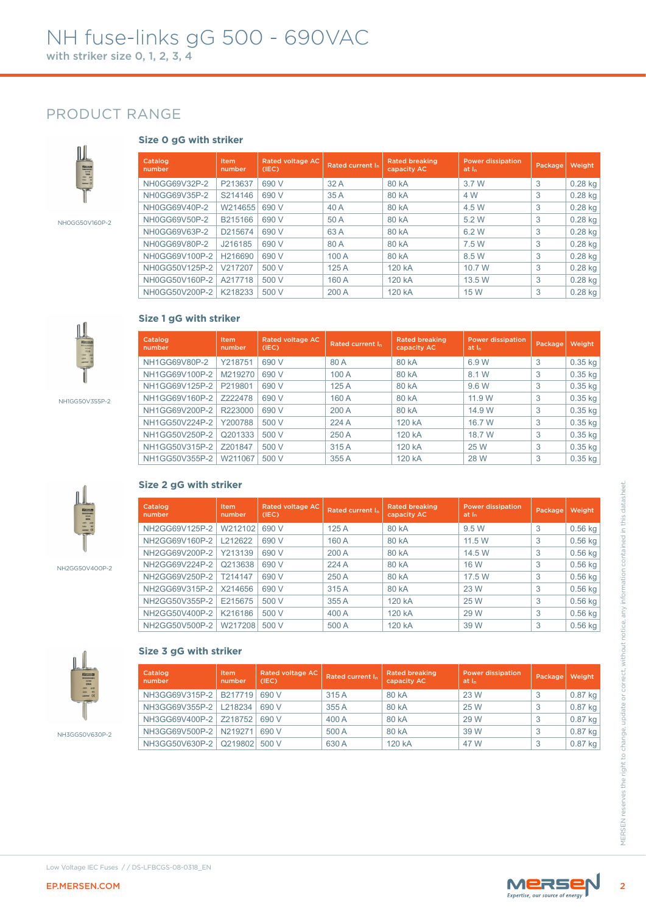### PRODUCT RANGE



NH0GG50V160P-2



Item numbe

Item number Rated voltage AC<br>(IEC)

Catalog number

Catalog number



NH1GG50V355P-2



NH2GG50V400P-2



#### **Size 2 gG with striker**

**Size 1 gG with striker**

|                | Catalog<br>number                | <b>Item</b><br>number | <b>Rated voltage AC</b><br>(IEC) | Rated current In | <b>Rated breaking</b><br>capacity AC | <b>Power dissipation</b><br>at <sub>h</sub> | Package | Weight                 |
|----------------|----------------------------------|-----------------------|----------------------------------|------------------|--------------------------------------|---------------------------------------------|---------|------------------------|
|                | NH2GG69V125P-2                   | W212102               | 690 V                            | 125 A            | 80 kA                                | 9.5 W                                       | 3       | $0.56$ kg              |
|                | NH2GG69V160P-2                   | L212622               | 690 V                            | 160 A            | 80 kA                                | 11.5 W                                      | 3       | $0.56$ kg              |
|                | NH2GG69V200P-2                   | Y213139               | 690 V                            | 200 A            | 80 kA                                | 14.5 W                                      | 3       | $0.56$ kg              |
| NH2GG50V400P-2 | NH2GG69V224P-2                   | Q213638               | 690 V                            | 224 A            | 80 kA                                | 16 W                                        | 3       | $0.56$ kg              |
|                | NH2GG69V250P-2                   | T214147               | 690 V                            | 250 A            | 80 kA                                | 17.5 W                                      | 3       | $0.56$ kg              |
|                | NH2GG69V315P-2                   | X214656               | 690 V                            | 315 A            | 80 kA                                | 23 W                                        | 3       | $0.56$ kg              |
|                | NH2GG50V355P-2                   | E215675               | 500 V                            | 355 A            | 120 kA                               | 25 W                                        | 3       | $0.56$ kg              |
|                | NH2GG50V400P-2                   | K216186               | 500 V                            | 400 A            | 120 kA                               | 29 W                                        | 3       | $0.56$ kg              |
|                | NH2GG50V500P-2   W217208         |                       | 500 V                            | 500 A            | 120 kA                               | 39 W                                        | 3       | $0.56$ kg              |
|                | NH3GG69V355P-2   L218234         |                       | 690 V                            | 355 A            | 80 kA                                | 25 W                                        | 3       | $0.87$ kg              |
|                | NH3GG69V315P-2                   | B217719               | 690 V                            | 315 A            | 80 kA                                | 23 W                                        | 3       | $0.87$ kg              |
|                |                                  |                       |                                  |                  | 80 kA                                | 29 W                                        | 3       | $0.87$ kg              |
|                |                                  |                       |                                  |                  |                                      |                                             |         |                        |
|                | NH3GG69V400P-2                   | Z218752               | 690 V                            | 400 A            |                                      |                                             |         |                        |
| NH3GG50V630P-2 | NH3GG69V500P-2<br>NH3GG50V630P-2 | N219271<br>Q219802    | 690 V<br>500 V                   | 500 A<br>630 A   | 80 kA<br>120 kA                      | 39 W<br>47 W                                | 3<br>3  | $0.87$ kg<br>$0.87$ kg |

Rated current  $I_n$  Rated breaking

NH0GG69V32P-2 P213637 690 V 32 A 80 kA 3.7 W 3 0.28 kg NH0GG69V35P-2 S214146 690 V 35 A 80 kA 4 W 3 0.28 kg NH0GG69V40P-2 W214655 690 V 40 A 80 kA 4.5 W 3 0.28 kg NH0GG69V50P-2 B215166 690 V 50 A 80 kA 5.2 W 3 0.28 kg NH0GG69V63P-2 D215674 690 V 63 A 80 kA 6.2 W 3 0.28 kg NH0GG69V80P-2 J216185 690 V 80 A 80 kA 7.5 W 3 0.28 kg NH0GG69V100P-2 H216690 690 V 100 A 80 kA 8.5 W 3 0.28 kg NH0GG50V125P-2 V217207 500 V 125 A 120 kA 10.7 W 3 0.28 kg NH0GG50V160P-2 A217718 500 V 160 A 120 kA 13.5 W 3 0.28 kg NH0GG50V200P-2 K218233 500 V 200 A 120 kA 15 W 3 0.28 kg

Rated voltage AC  $\Big|$  Rated current  $I_n$   $\Big|$  Rated breaking (IEC)

NH1GG50V355P-2 W211067 500 V 355 A 120 kA 28 W 3

NH1GG69V80P-2 Y218751 690 V 80 A 80 kA 6.9 W 3 0.35 kg NH1GG69V100P-2 M219270 690 V 100 A 80 kA 8.1 W 3 0.35 kg NH1GG69V125P-2 P219801 690 V 125 A 80 kA 9.6 W 3 0.35 kg NH1GG69V160P-2 Z222478 690 V 160 A 80 kA 11.9 W 3 0.35 kg NH1GG69V200P-2 R223000 690 V 200 A 80 kA 14.9 W 3 0.35 kg NH1GG50V224P-2 Y200788 500 V 224 A 120 kA 16.7 W 3 0.35 kg NH1GG50V250P-2 Q201333 500 V 250 A 120 kA 18.7 W 3 0.35 kg NH1GG50V315P-2 Z201847 500 V 315 A 120 kA 25 W 3 0.35 kg<br>NH1GG50V355P-2 W211067 500 V 355 A 120 kA 28 W 3 0.35 kg

capacity AC

Rated breaking

Power dissipation | Package | Weight

Power dissipation | Package | Weight<br>at I<sub>n</sub>



#### **Size 3 gG with striker**

| Catalog<br>number              | <b>Item</b><br>number | Rated voltage AC<br>(IEC) | Rated current In | <b>Rated breaking</b><br>capacity AC | <b>Power dissipation</b><br>at I <sub>n</sub> | Package | Weight  |
|--------------------------------|-----------------------|---------------------------|------------------|--------------------------------------|-----------------------------------------------|---------|---------|
| NH3GG69V315P-2   B217719       |                       | 690 V                     | 315 A            | 80 kA                                | 23 W                                          |         | 0.87 kg |
| NH3GG69V355P-2   L218234       |                       | 690 V                     | 355 A            | 80 kA                                | 25 W                                          | 3       | 0.87 kg |
| NH3GG69V400P-2   Z218752       |                       | 690 V                     | 400 A            | 80 kA                                | 29 W                                          | 3       | 0.87 kg |
| NH3GG69V500P-2   N219271       |                       | 690 V                     | 500 A            | 80 kA                                | 39 W                                          |         | 0.87 kg |
| NH3GG50V630P-2   Q219802 500 V |                       |                           | 630 A            | 120 kA                               | 47 W                                          |         | 0.87 kg |

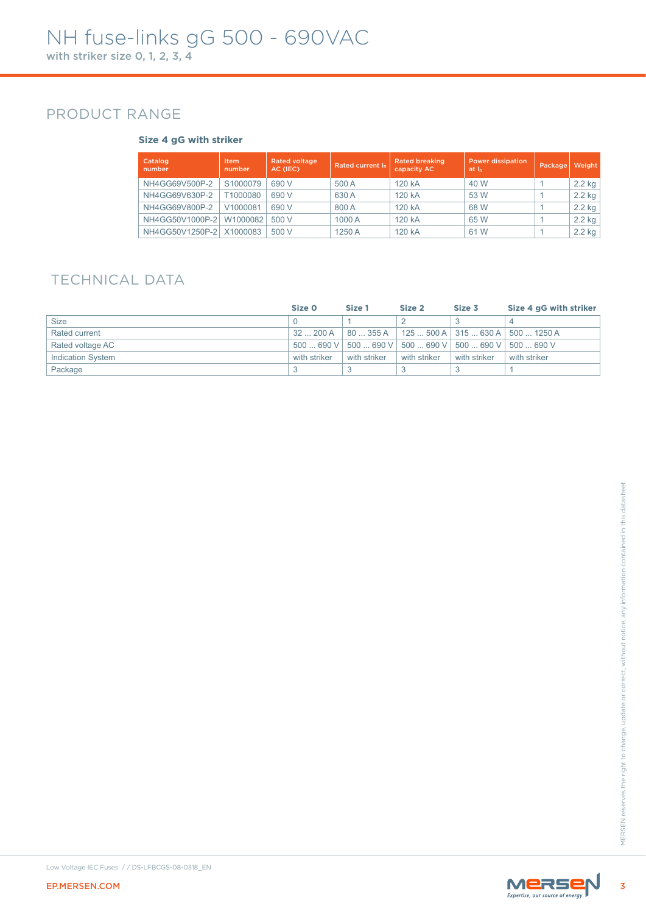### PRODUCT RANGE

#### **Size 4 gG with striker**

| Catalog<br>number | Item<br>number | Rated voltage<br>AC (IEC) | Rated current In | <b>Rated breaking</b><br>capacity AC | <b>Power dissipation</b><br>at I <sub>n</sub> | Package | Weight   |
|-------------------|----------------|---------------------------|------------------|--------------------------------------|-----------------------------------------------|---------|----------|
| NH4GG69V500P-2    | S1000079       | 690 V                     | 500 A            | 120 kA                               | 40 W                                          |         | $2.2$ kg |
| NH4GG69V630P-2    | T1000080       | 690 V                     | 630 A            | 120 kA                               | 53 W                                          |         | $2.2$ kg |
| NH4GG69V800P-2    | V1000081       | 690 V                     | 800 A            | 120 kA                               | 68 W                                          |         | $2.2$ kg |
| NH4GG50V1000P-2   | W1000082       | 500 V                     | 1000 A           | 120 kA                               | 65 W                                          |         | $2.2$ kg |
| NH4GG50V1250P-2   | X1000083       | 500 V                     | 1250 A           | 120 kA                               | 61 W                                          |         | $2.2$ kg |

### TECHNICAL DATA

|                          | Size O       | Size 1       | Size 2                                                                  | Size 3       | Size 4 gG with striker                |
|--------------------------|--------------|--------------|-------------------------------------------------------------------------|--------------|---------------------------------------|
| <b>Size</b>              |              |              |                                                                         |              |                                       |
| Rated current            | 32  200 A    | 80  355 A    |                                                                         |              | 125  500 A   315  630 A   500  1250 A |
| Rated voltage AC         |              |              | $500$ 690 V   500 $$ 690 V   500 $$ 690 V   500 $$ 690 V   500 $$ 690 V |              |                                       |
| <b>Indication System</b> | with striker | with striker | with striker                                                            | with striker | with striker                          |
| Package                  |              |              |                                                                         |              |                                       |



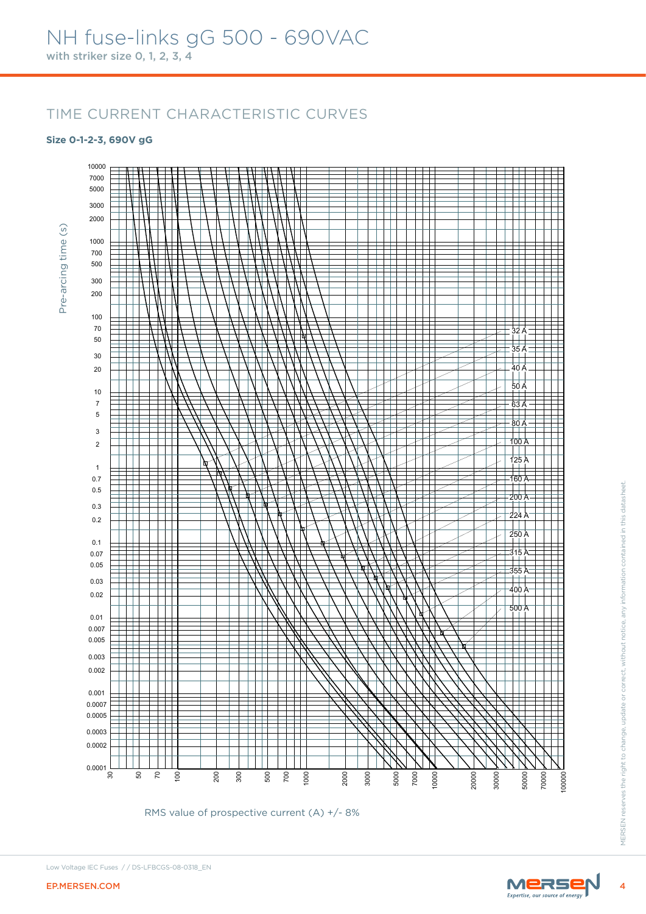#### **Size 0-1-2-3, 690V gG**



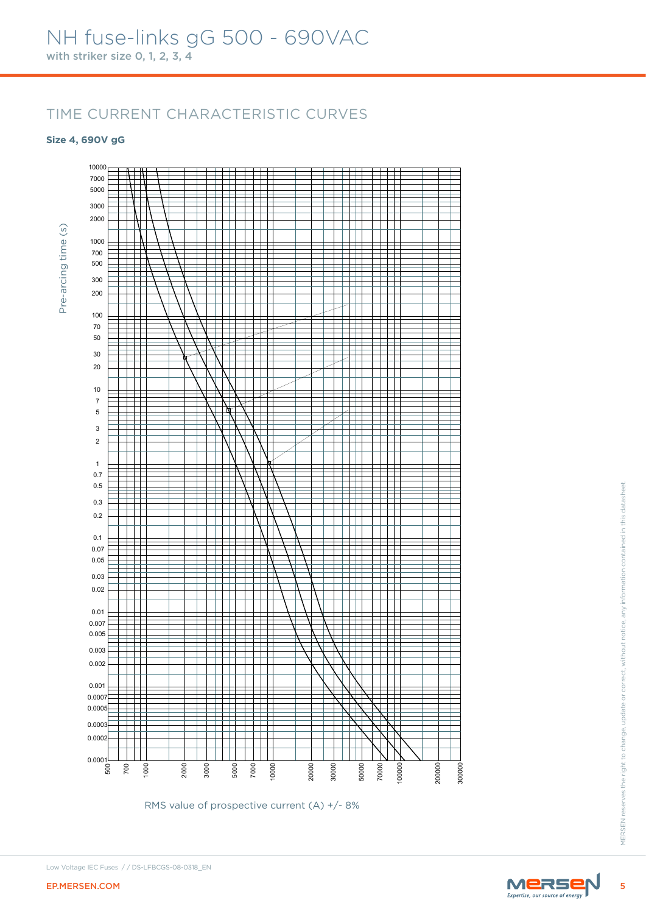#### **Size 4, 690V gG**



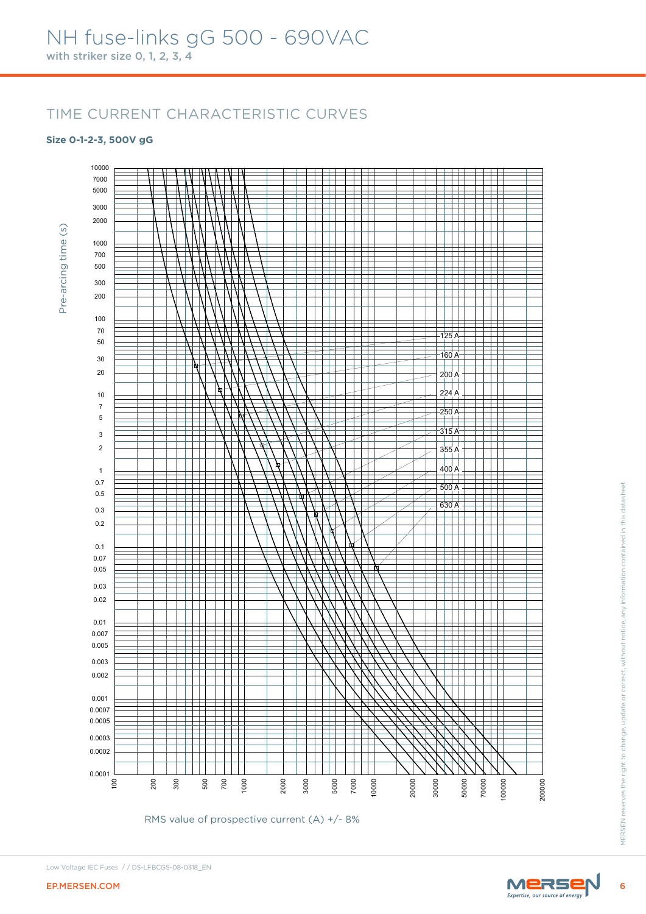#### **Size 0-1-2-3, 500V gG**

Pre-arcing time (s)

Pre-arcing time (s)

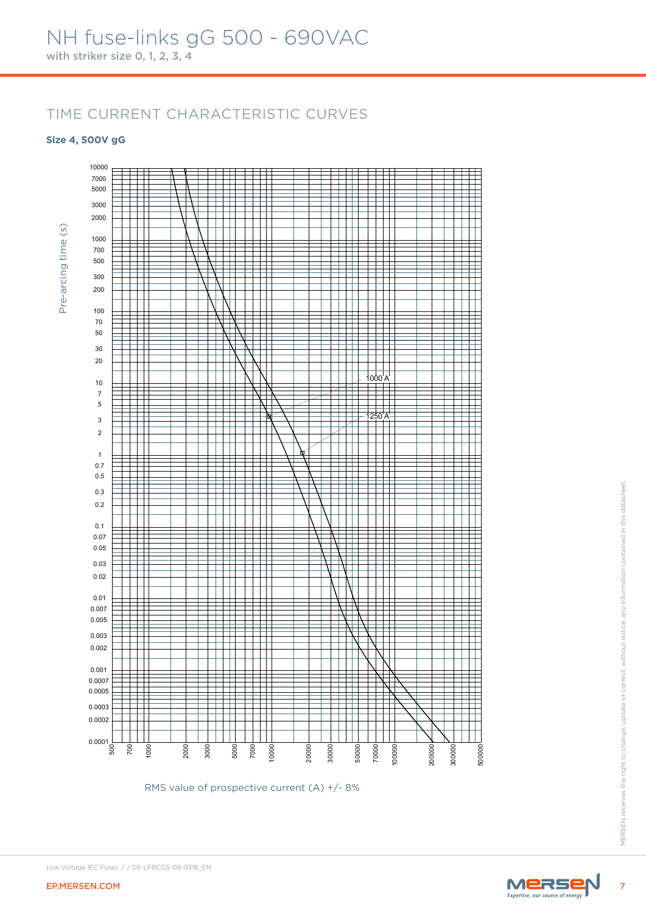#### **Size 4, 500V gG**





Low Voltage IEC Fuses / / DS-LFBCGS-08-0318\_EN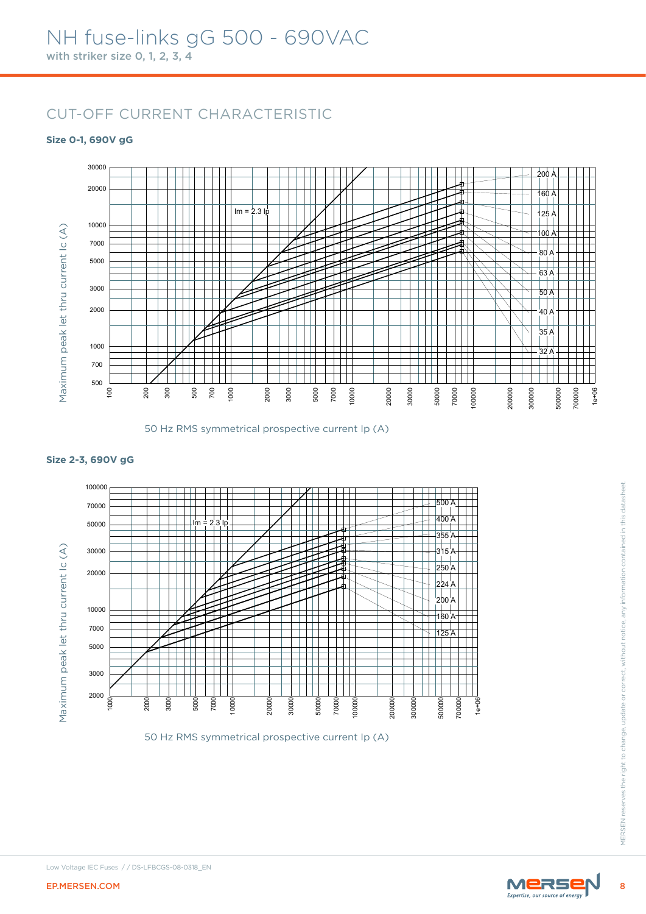### CUT-OFF CURRENT CHARACTERISTIC

#### **Size 0-1, 690V gG**





#### **Size 2-3, 690V gG**





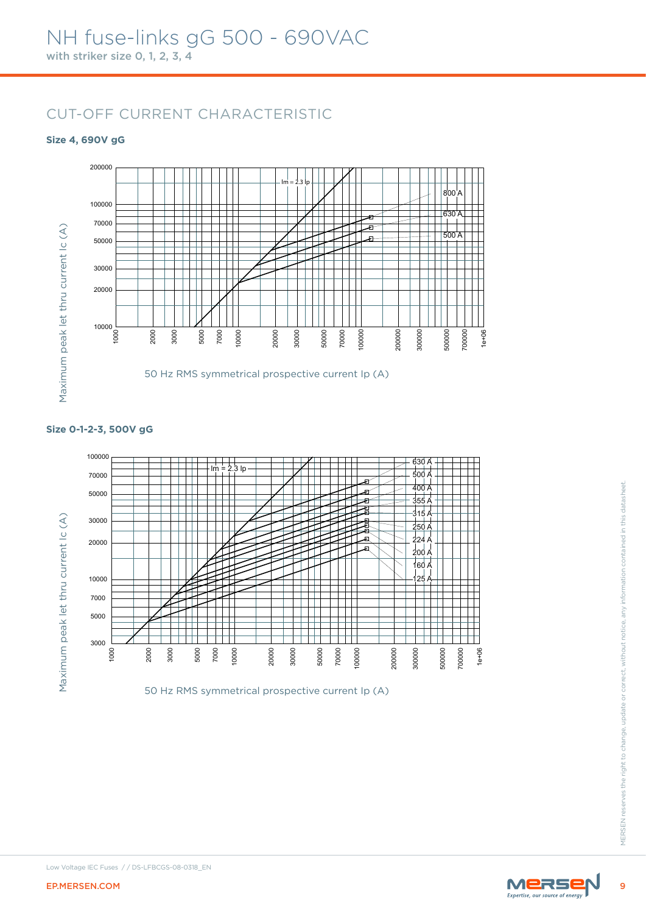### CUT-OFF CURRENT CHARACTERISTIC

#### **Size 4, 690V gG**





#### **Size 0-1-2-3, 500V gG**



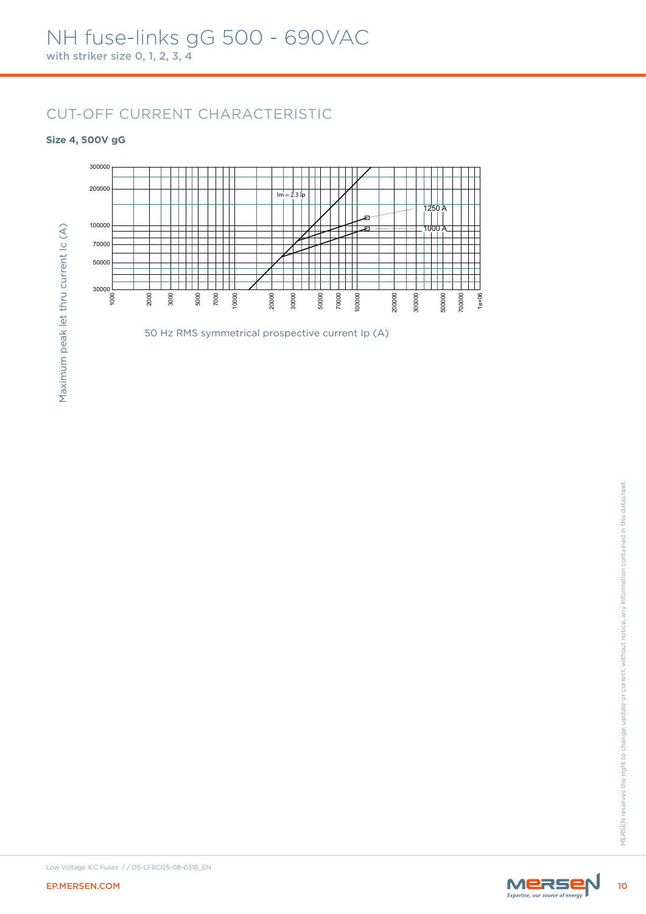### CUT-OFF CURRENT CHARACTERISTIC

#### **Size 4, 500V gG**



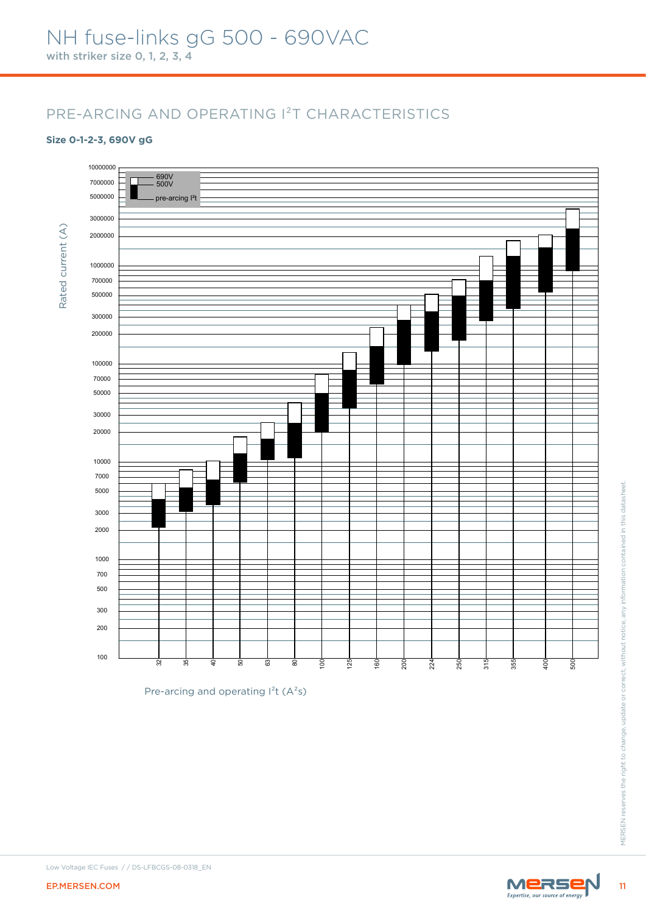#### **Size 0-1-2-3, 690V gG**



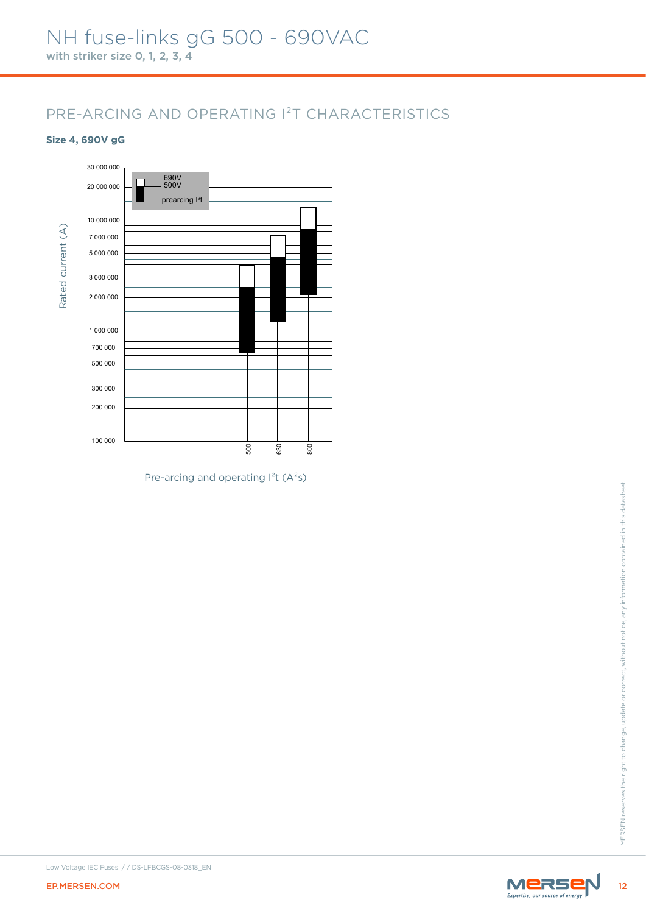#### **Size 4, 690V gG**



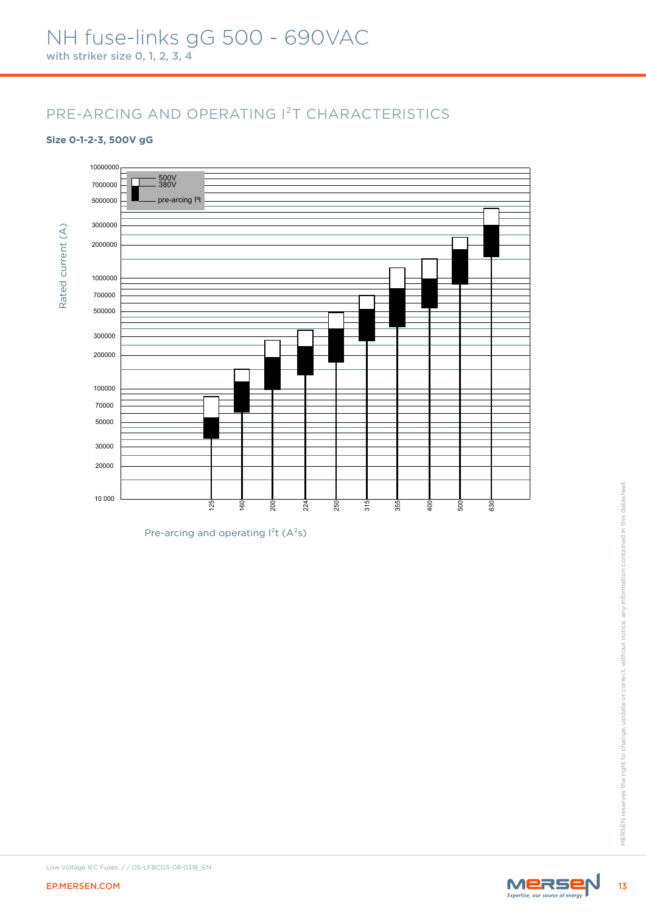#### **Size 0-1-2-3, 500V gG**



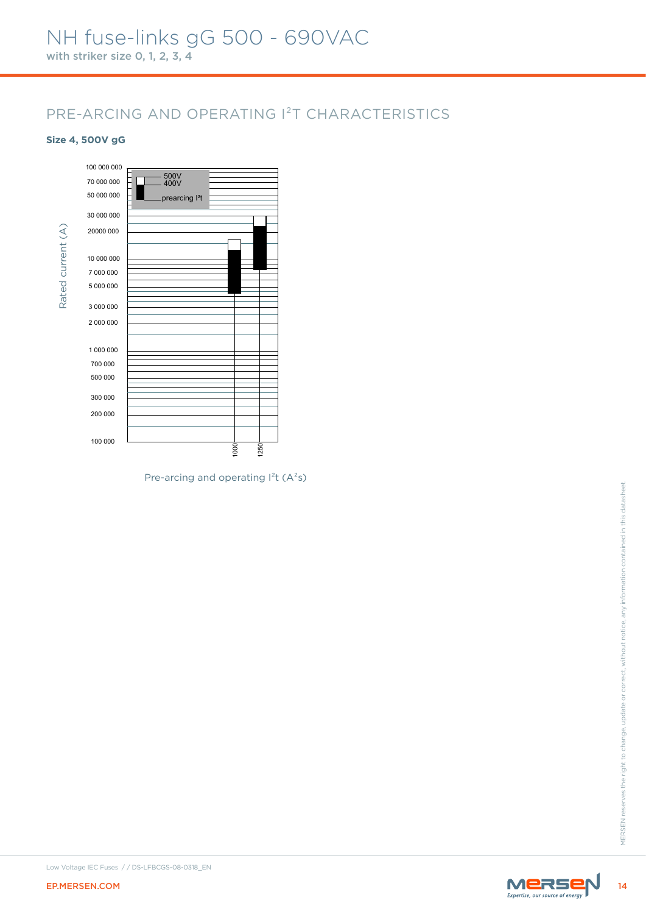#### **Size 4, 500V gG**





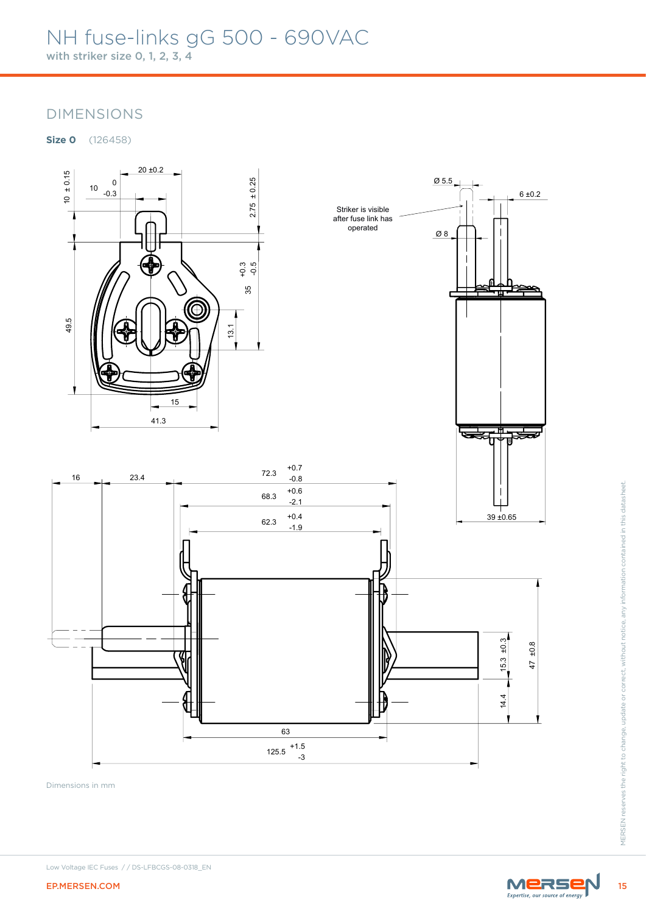



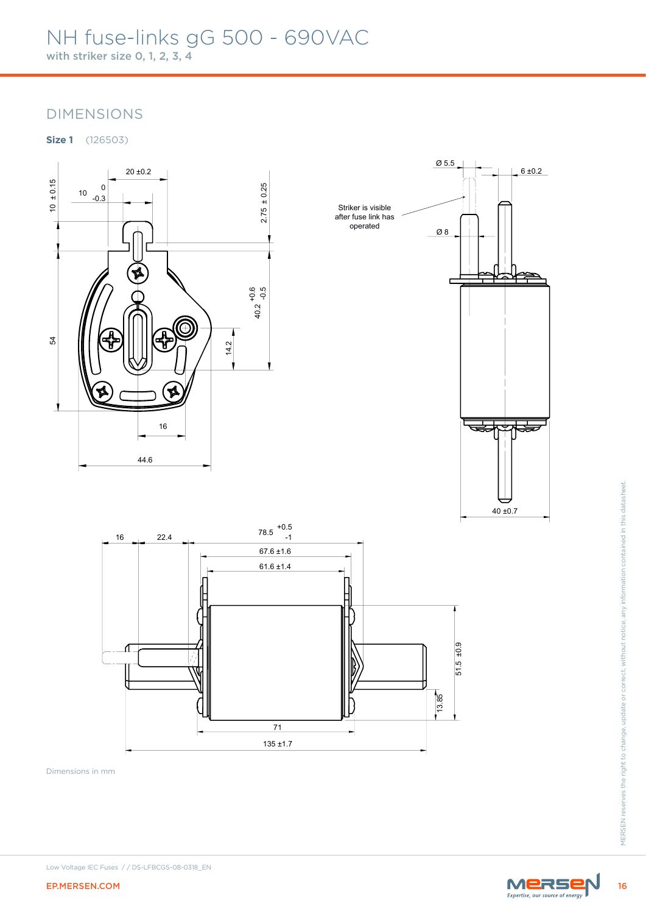



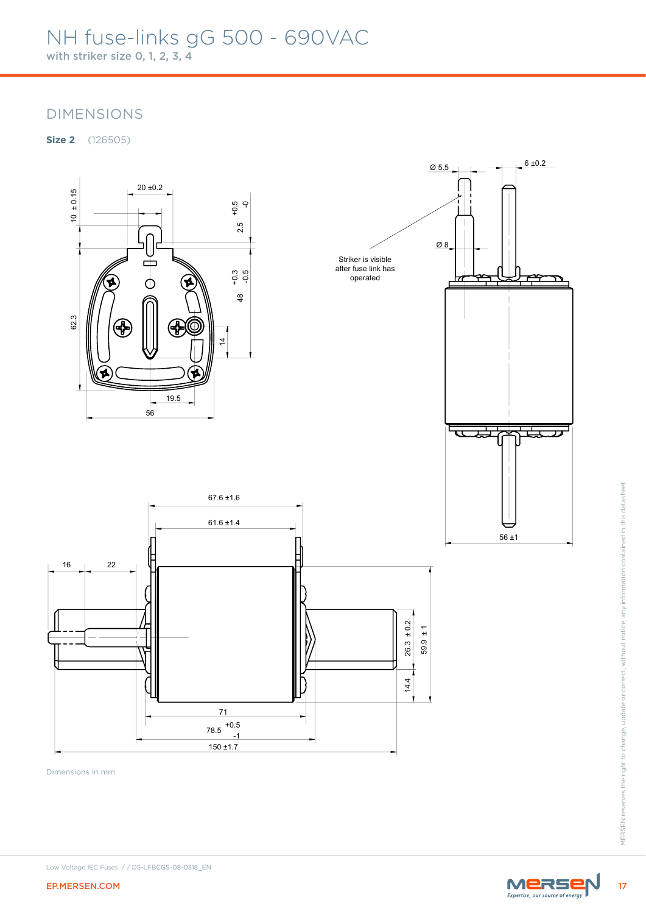**Size 2** (126505)



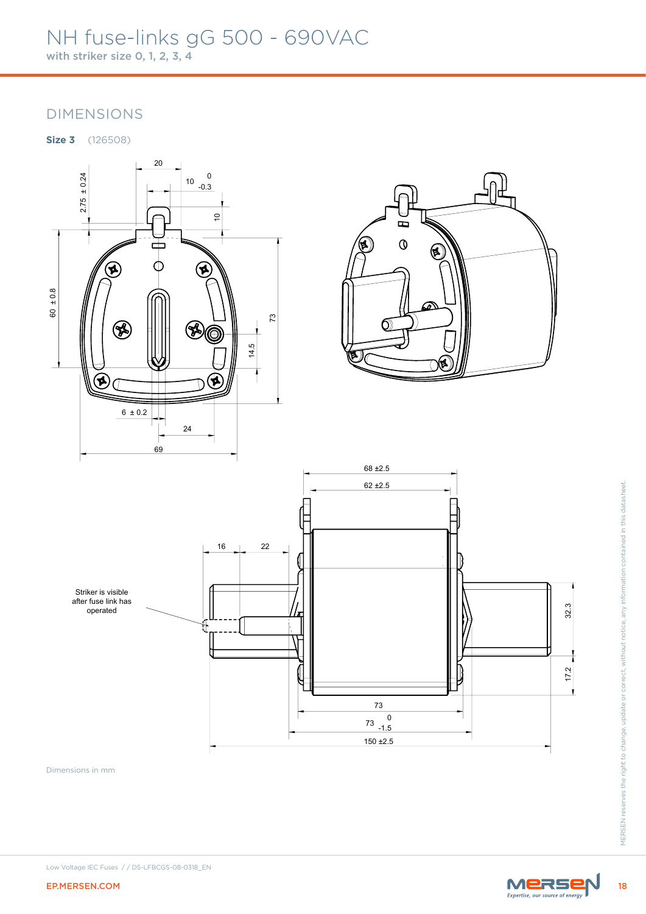